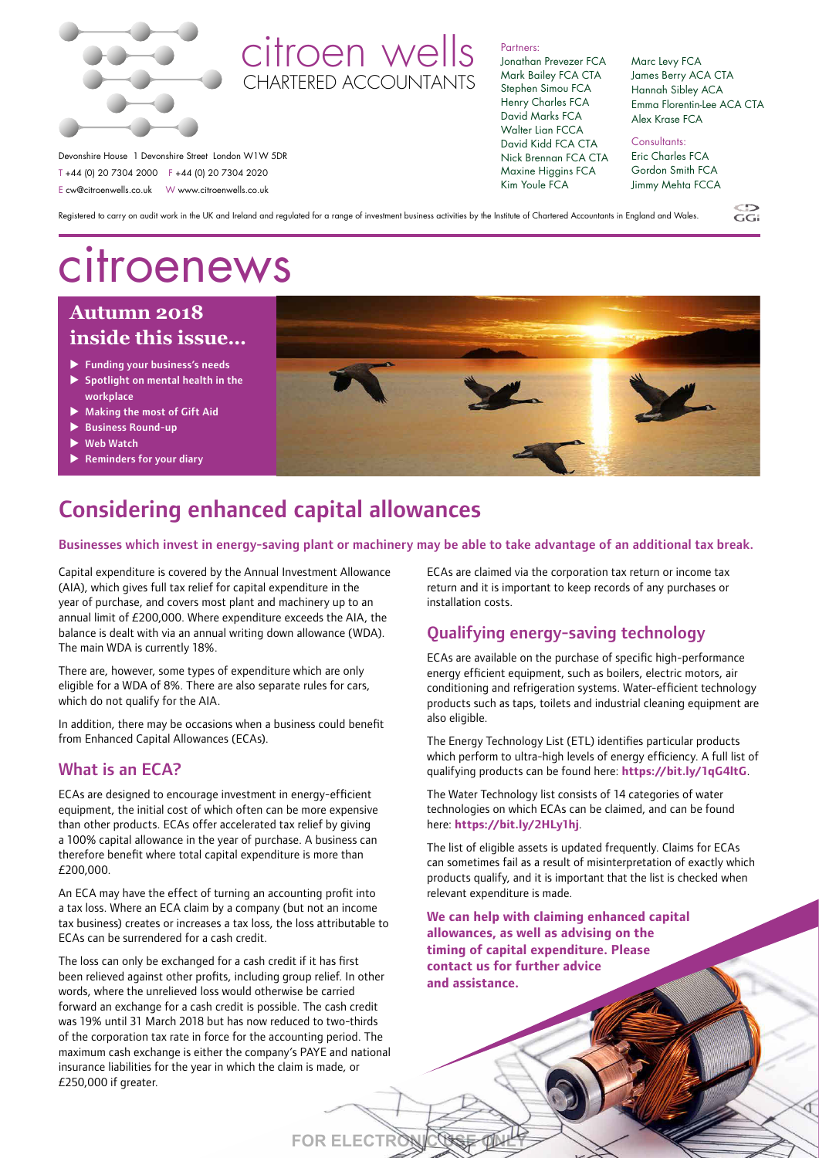

## citroen wells CHARTERED ACCOUNTANTS

#### Partners:

Jonathan Prevezer FCA Mark Bailey FCA CTA Stephen Simou FCA Henry Charles FCA David Marks FCA Walter Lian FCCA David Kidd FCA CTA Nick Brennan FCA CTA Maxine Higgins FCA Kim Youle FCA

Marc Levy FCA James Berry ACA CTA Hannah Sibley ACA Emma Florentin-Lee ACA CTA Alex Krase FCA

Consultants: Eric Charles FCA Gordon Smith FCA Jimmy Mehta FCCA

Registered to carry on audit work in the UK and Ireland and regulated for a range of investment business activities by the Institute of Chartered Accountants in England and Wales.

## citroenews

Devonshire House 1 Devonshire Street London W1W 5DR T +44 (0) 20 7304 2000 F +44 (0) 20 7304 2020 E cw@citroenwells.co.uk W www.citroenwells.co.uk

#### **August 2018 Autumn 2018 inside this issue… inside this**

- $\blacktriangleright$  Funding your business's needs
- $\blacktriangleright$  Spotlight on mental health in the workplace
- $\blacktriangleright$  Making the most of Gift Aid → Making the most of Gift Aid<br>→ Business Round-up<br>→ Web Watch<br>→ Reminders for your diary
- $\blacktriangleright$  Business Round-up
- **Web Watch**
- 



## Considering enhanced capital allowances

Businesses which invest in energy-saving plant or machinery may be able to take advantage of an additional tax break.

**FOR ELECTRONIC USE ONLY**

Capital expenditure is covered by the Annual Investment Allowance (AIA), which gives full tax relief for capital expenditure in the year of purchase, and covers most plant and machinery up to an annual limit of £200,000. Where expenditure exceeds the AIA, the balance is dealt with via an annual writing down allowance (WDA). The main WDA is currently 18%.

There are, however, some types of expenditure which are only eligible for a WDA of 8%. There are also separate rules for cars, which do not qualify for the AIA.

In addition, there may be occasions when a business could benefit from Enhanced Capital Allowances (ECAs).

#### What is an ECA?

ECAs are designed to encourage investment in energy-efficient equipment, the initial cost of which often can be more expensive than other products. ECAs offer accelerated tax relief by giving a 100% capital allowance in the year of purchase. A business can therefore benefit where total capital expenditure is more than £200,000.

An ECA may have the effect of turning an accounting profit into a tax loss. Where an ECA claim by a company (but not an income tax business) creates or increases a tax loss, the loss attributable to ECAs can be surrendered for a cash credit.

The loss can only be exchanged for a cash credit if it has first been relieved against other profits, including group relief. In other words, where the unrelieved loss would otherwise be carried forward an exchange for a cash credit is possible. The cash credit was 19% until 31 March 2018 but has now reduced to two-thirds of the corporation tax rate in force for the accounting period. The maximum cash exchange is either the company's PAYE and national insurance liabilities for the year in which the claim is made, or £250,000 if greater.

ECAs are claimed via the corporation tax return or income tax return and it is important to keep records of any purchases or installation costs.

#### Qualifying energy-saving technology

ECAs are available on the purchase of specific high-performance energy efficient equipment, such as boilers, electric motors, air conditioning and refrigeration systems. Water-efficient technology products such as taps, toilets and industrial cleaning equipment are also eligible.

The Energy Technology List (ETL) identifies particular products which perform to ultra-high levels of energy efficiency. A full list of qualifying products can be found here: **https://bit.ly/1qG4ltG**.

The Water Technology list consists of 14 categories of water technologies on which ECAs can be claimed, and can be found here: **https://bit.ly/2HLy1hj**.

The list of eligible assets is updated frequently. Claims for ECAs can sometimes fail as a result of misinterpretation of exactly which products qualify, and it is important that the list is checked when relevant expenditure is made.

**We can help with claiming enhanced capital allowances, as well as advising on the timing of capital expenditure. Please contact us for further advice and assistance.**

CG:<br>GG:

đ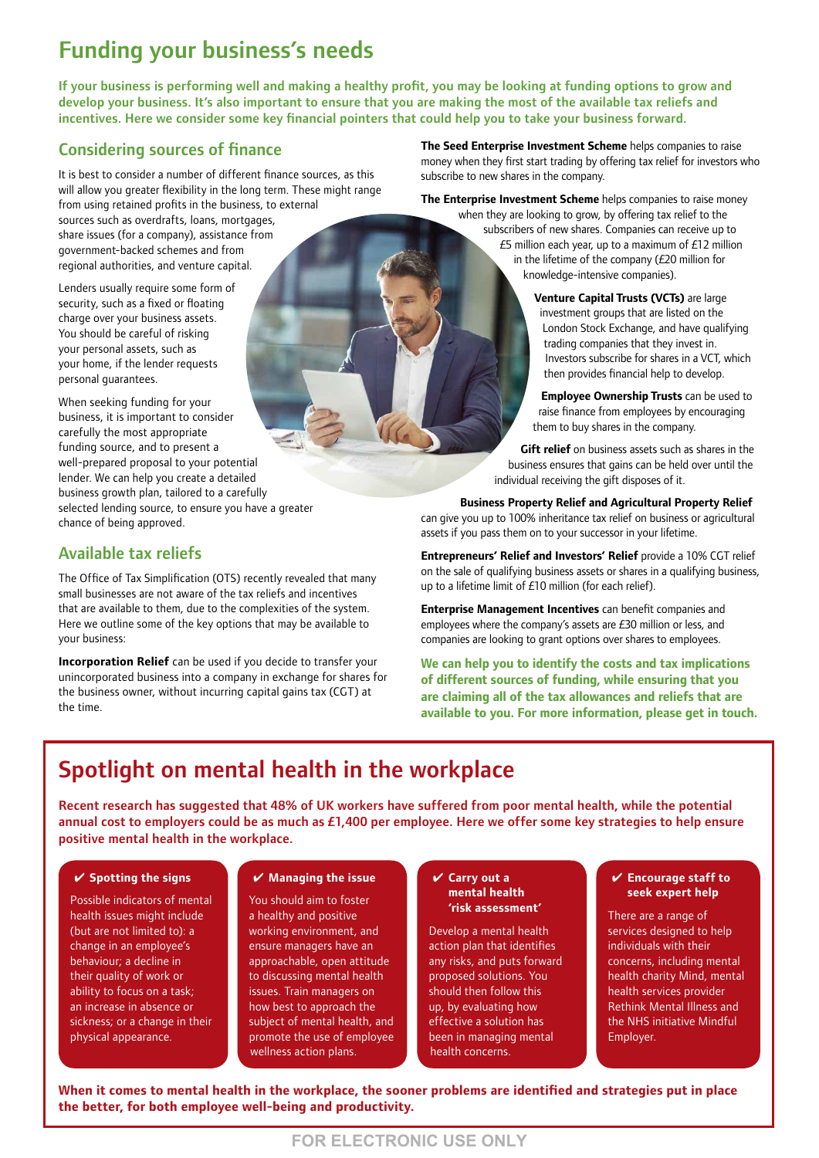## Funding your business's needs

If your business is performing well and making a healthy profit, you may be looking at funding options to grow and develop your business. It's also important to ensure that you are making the most of the available tax reliefs and incentives. Here we consider some key financial pointers that could help you to take your business forward.

#### Considering sources of finance

It is best to consider a number of different finance sources, as this will allow you greater flexibility in the long term. These might range from using retained profits in the business, to external sources such as overdrafts, loans, mortgages, share issues (for a company), assistance from government-backed schemes and from regional authorities, and venture capital.

Lenders usually require some form of security, such as a fixed or floating charge over your business assets. You should be careful of risking your personal assets, such as your home, if the lender requests personal guarantees.

When seeking funding for your business, it is important to consider carefully the most appropriate funding source, and to present a well-prepared proposal to your potential lender. We can help you create a detailed business growth plan, tailored to a carefully selected lending source, to ensure you have a greater chance of being approved.

#### Available tax reliefs

The Office of Tax Simplification (OTS) recently revealed that many small businesses are not aware of the tax reliefs and incentives that are available to them, due to the complexities of the system. Here we outline some of the key options that may be available to your business:

**Incorporation Relief** can be used if you decide to transfer your unincorporated business into a company in exchange for shares for the business owner, without incurring capital gains tax (CGT) at the time.

**The Seed Enterprise Investment Scheme** helps companies to raise money when they first start trading by offering tax relief for investors who subscribe to new shares in the company.

**The Enterprise Investment Scheme** helps companies to raise money

when they are looking to grow, by offering tax relief to the subscribers of new shares. Companies can receive up to £5 million each year, up to a maximum of £12 million in the lifetime of the company (£20 million for knowledge-intensive companies).

> **Venture Capital Trusts (VCTs)** are large investment groups that are listed on the London Stock Exchange, and have qualifying trading companies that they invest in. Investors subscribe for shares in a VCT, which then provides financial help to develop.

**Employee Ownership Trusts** can be used to raise finance from employees by encouraging them to buy shares in the company.

**Gift relief** on business assets such as shares in the business ensures that gains can be held over until the individual receiving the gift disposes of it.

**Business Property Relief and Agricultural Property Relief** can give you up to 100% inheritance tax relief on business or agricultural

assets if you pass them on to your successor in your lifetime.

**Entrepreneurs' Relief and Investors' Relief** provide a 10% CGT relief on the sale of qualifying business assets or shares in a qualifying business, up to a lifetime limit of £10 million (for each relief).

**Enterprise Management Incentives** can benefit companies and employees where the company's assets are £30 million or less, and companies are looking to grant options over shares to employees.

**We can help you to identify the costs and tax implications of different sources of funding, while ensuring that you are claiming all of the tax allowances and reliefs that are available to you. For more information, please get in touch.**

## Spotlight on mental health in the workplace

Recent research has suggested that 48% of UK workers have suffered from poor mental health, while the potential annual cost to employers could be as much as £1,400 per employee. Here we offer some key strategies to help ensure positive mental health in the workplace.

#### ✔ **Spotting the signs**

Possible indicators of mental health issues might include (but are not limited to): a change in an employee's behaviour; a decline in their quality of work or ability to focus on a task; an increase in absence or sickness; or a change in their physical appearance.

#### ✔ **Managing the issue**

You should aim to foster a healthy and positive working environment, and ensure managers have an approachable, open attitude to discussing mental health issues. Train managers on how best to approach the subject of mental health, and promote the use of employee wellness action plans.

#### ✔ **Carry out a mental health 'risk assessment'**

Develop a mental health action plan that identifies any risks, and puts forward proposed solutions. You should then follow this up, by evaluating how effective a solution has been in managing mental health concerns.

#### ✔ **Encourage staff to seek expert help**

There are a range of services designed to help individuals with their concerns, including mental health charity Mind, mental health services provider Rethink Mental Illness and the NHS initiative Mindful Employer.

**When it comes to mental health in the workplace, the sooner problems are identified and strategies put in place the better, for both employee well-being and productivity.**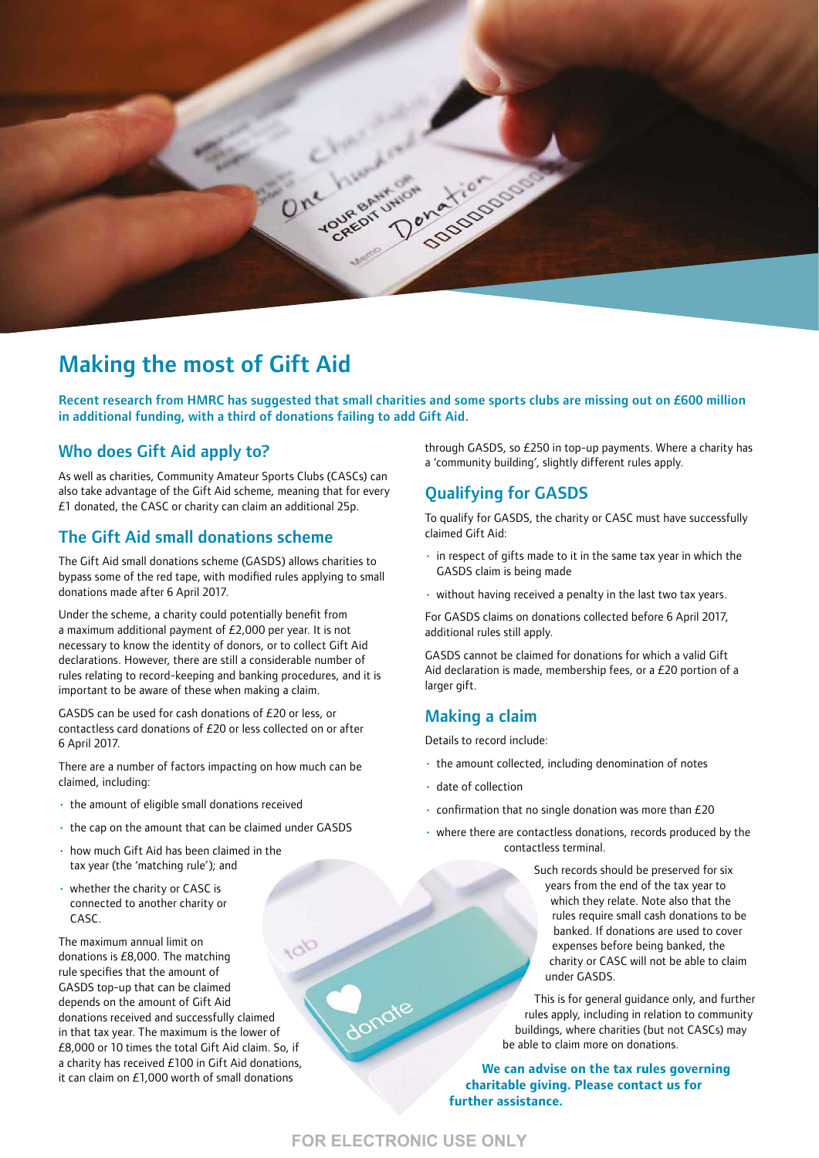

### Making the most of Gift Aid

Recent research from HMRC has suggested that small charities and some sports clubs are missing out on £600 million in additional funding, with a third of donations failing to add Gift Aid.

#### Who does Gift Aid apply to?

As well as charities, Community Amateur Sports Clubs (CASCs) can also take advantage of the Gift Aid scheme, meaning that for every £1 donated, the CASC or charity can claim an additional 25p.

#### The Gift Aid small donations scheme

The Gift Aid small donations scheme (GASDS) allows charities to bypass some of the red tape, with modified rules applying to small donations made after 6 April 2017.

Under the scheme, a charity could potentially benefit from a maximum additional payment of £2,000 per year. It is not necessary to know the identity of donors, or to collect Gift Aid declarations. However, there are still a considerable number of rules relating to record-keeping and banking procedures, and it is important to be aware of these when making a claim.

GASDS can be used for cash donations of £20 or less, or contactless card donations of £20 or less collected on or after 6 April 2017.

There are a number of factors impacting on how much can be claimed, including:

- the amount of eligible small donations received
- the cap on the amount that can be claimed under GASDS
- how much Gift Aid has been claimed in the tax year (the 'matching rule'); and
- whether the charity or CASC is connected to another charity or CASC.

The maximum annual limit on donations is £8,000. The matching rule specifies that the amount of GASDS top-up that can be claimed depends on the amount of Gift Aid donations received and successfully claimed in that tax year. The maximum is the lower of £8,000 or 10 times the total Gift Aid claim. So, if a charity has received £100 in Gift Aid donations, it can claim on £1,000 worth of small donations

through GASDS, so £250 in top-up payments. Where a charity has a 'community building', slightly different rules apply.

#### Qualifying for GASDS

To qualify for GASDS, the charity or CASC must have successfully claimed Gift Aid:

- in respect of gifts made to it in the same tax year in which the GASDS claim is being made
- without having received a penalty in the last two tax years.

For GASDS claims on donations collected before 6 April 2017, additional rules still apply.

GASDS cannot be claimed for donations for which a valid Gift Aid declaration is made, membership fees, or a £20 portion of a larger gift.

#### Making a claim

Details to record include:

- the amount collected, including denomination of notes
- date of collection
- confirmation that no single donation was more than £20
- where there are contactless donations, records produced by the contactless terminal.

Such records should be preserved for six years from the end of the tax year to which they relate. Note also that the rules require small cash donations to be banked. If donations are used to cover expenses before being banked, the charity or CASC will not be able to claim under GASDS.

This is for general guidance only, and further rules apply, including in relation to community buildings, where charities (but not CASCs) may be able to claim more on donations.

**We can advise on the tax rules governing charitable giving. Please contact us for further assistance.**